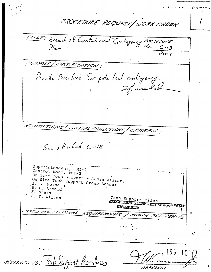PROCEDURE REPUEST/WORK ORDER TITLE: Breach of Containment Contigency Procesure  $\frac{C-18}{R-1}$ PURPOSE / JUSTIFICATION : Provide Procedure for potential contingency. if reeded ASSUMPTICNS | INITIAL CONDITIONS | CRITERIA. Sec a Hacked C-18 Superintendent, TMI-2 Control Room, TMI-2 On Site Tech Support - Admin Assist. On Site Tech Support Group Leader J. G. Herbein R. C. Arnold F. Stern R. F. Wilson Toch Support Files Datathaduction transgement4 CEroup REVIEW AYD APPROVAL REQUIRSITIONTS KHCLIV REFERENCES  $\sigma$ kalatina a San MESSONED TO: Call Support Procedures RAPPORTUNI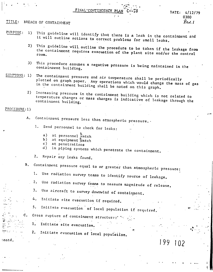FINAL-CONTINGENCY PL

## BREACH OF CONTAINMENT TITLE:

DATE:  $4/12/79$ 0300  $Rc$ v. 1

- PURPOSE: This guideline will identify that there is a leak in the containment and  $\left| \cdot \right|$ it will outline actions to correct problems for small leaks.
	- This guideline will outline the procedure to be taken if the leakage from  $2)$ the containment requires evacuation of the plant site and/or the control
	- This procedure assumes a negative pressure is being maintained in the  $3)$ containment building.
- $SINPTONS: 1)$ The containment pressure and air temperature shall be periodically plotted on graph paper. Any operations which would change the mass of gas In the containment building shall be noted on this graph.
	- Increasing pressure in the containment building which is not related to  $2)$ temperature changes or mass changes is indicative of leakage through the containment building.

PROCEDURE: 1)

 $\mathsf{c}$ .

:ontd.

- Containment pressure less than atmospheric pressure. A.
	- Send personnel to check for leaks:  $1.$ 
		- $a)$ at personnel watch
		- at equipment watch  $b)$
		- $c$ ) at penetrations
		- in piping systems which penetrate the containment.  $d$ )
	- Repair any leaks found.  $2.$
- Containment pressure equal to or greater than atmospheric pressure: **B**.
	- Use radiation survey teams to identify source of leakage. 1.
	- Use radiation survey teams to measure magnitude of release.  $2.$
	- Use aircraft to survey downwind of containment.  $3.$
	- Initiate site evacuation if required. 4.
	- Initiate evacuation of local population if required.  $5.$
	- Cross rupture of containment structure:'
	- Initiate site evacuation.  $1.$

2. Initiate evacuation of local population.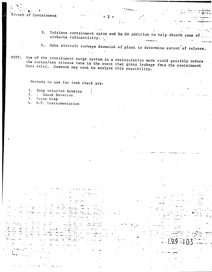## Breach of Containment

- 3. Initiate containment spray and Na OH addition to help absorb some of airborne radioactivity.
- 4. Make aircraft surveys downwind of plant to determine extent of release.

Use of the containment purge system in a recirculation mode could possibly reduce NOTE: the curies/sec release rate in the event that gross leakage from the containment does exist. Someone may want to analyze this possibility.

Methods to use for leak check are:

iy C

- Soap solution bubbles  $1.$
- $2.$ - Sound Detector.
- $3.$ Saran Wrap
- 4. H.P. Instrumentation